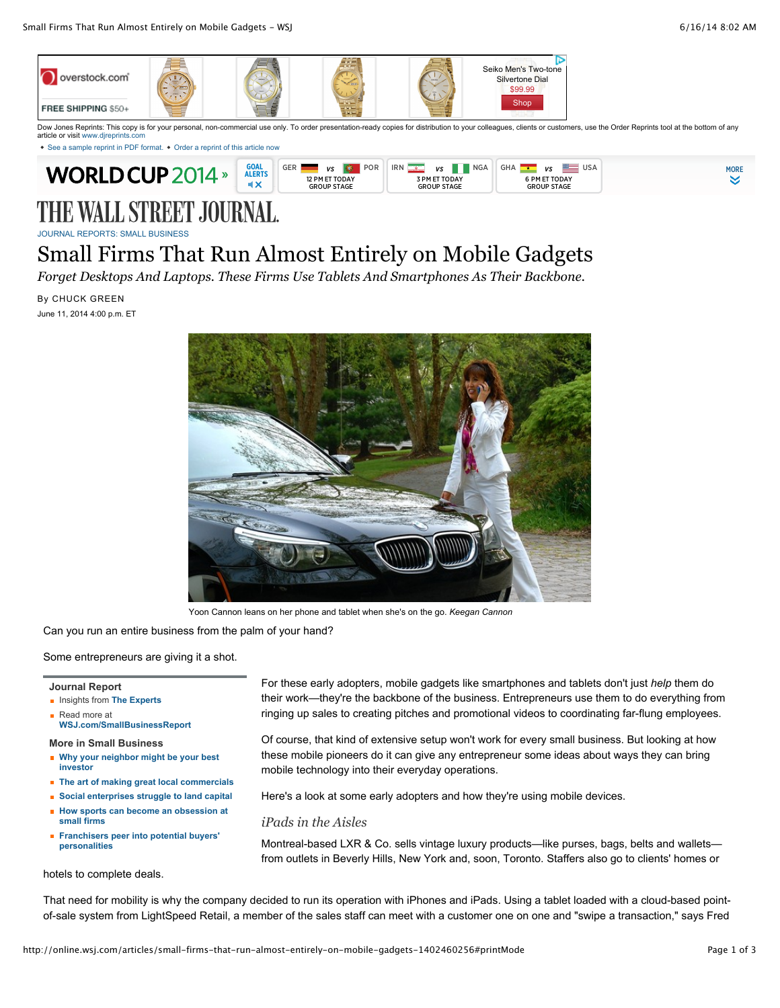

Dow Jones Reprints: This copy is for your personal, non-commercial use only. To order presentation-ready copies for distribution to your colleagues, clients or customers, use the Order Reprints tool at the bottom of any article or visit www.direprints.

[See a sample reprint in PDF format.](http://online.wsj.com/public/resources/documents/Reprint_Samples.pdf) • [Order a reprint of this article now](http://online.wsj.com/articles/small-firms-that-run-almost-entirely-on-mobile-gadgets-1402460256#)



# THE WALL STREET JOURNAL.

[JOURNAL REPORTS: SMALL BUSINESS](http://online.wsj.com/public/search?article-doc-type=%7BJournal+Reports:+Small+Business%7D&HEADER_TEXT=journal+reports:+small+business)

## Small Firms That Run Almost Entirely on Mobile Gadgets

*Forget Desktops And Laptops. These Firms Use Tablets And Smartphones As Their Backbone.*

### By CHUCK GREEN

June 11, 2014 4:00 p.m. ET



Yoon Cannon leans on her phone and tablet when she's on the go. *Keegan Cannon*

Can you run an entire business from the palm of your hand?

Some entrepreneurs are giving it a shot.

#### **Journal Report**

- **Insights from [The Experts](http://blogs.wsj.com/experts/category/small-business/?mod=experts_small_business)**
- Read more at **[WSJ.com/SmallBusinessReport](http://online.wsj.com/public/page/journal-report-small-business.html)**

**More in Small Business**

- **[Why your neighbor might be your best](http://online.wsj.com/articles/SB10001424052702303773704579269860780103536) investor**
- **[The art of making great local commercials](http://online.wsj.com/articles/SB10001424052702304858104579262243405758958)**
- **[Social enterprises struggle to land capital](http://online.wsj.com/articles/SB10001424052702303801304579411002153176332) [How sports can become an obsession at](http://online.wsj.com/articles/SB10001424052702303825604579517990549450848)**
- **small firms [Franchisers peer into potential buyers'](http://online.wsj.com/articles/SB10001424052702303978304579472173288120960) personalities**

hotels to complete deals.

For these early adopters, mobile gadgets like smartphones and tablets don't just *help* them do their work—they're the backbone of the business. Entrepreneurs use them to do everything from ringing up sales to creating pitches and promotional videos to coordinating far-flung employees.

Of course, that kind of extensive setup won't work for every small business. But looking at how these mobile pioneers do it can give any entrepreneur some ideas about ways they can bring mobile technology into their everyday operations.

Here's a look at some early adopters and how they're using mobile devices.

*iPads in the Aisles*

Montreal-based LXR & Co. sells vintage luxury products—like purses, bags, belts and wallets from outlets in Beverly Hills, New York and, soon, Toronto. Staffers also go to clients' homes or

That need for mobility is why the company decided to run its operation with iPhones and iPads. Using a tablet loaded with a cloud-based pointof-sale system from LightSpeed Retail, a member of the sales staff can meet with a customer one on one and "swipe a transaction," says Fred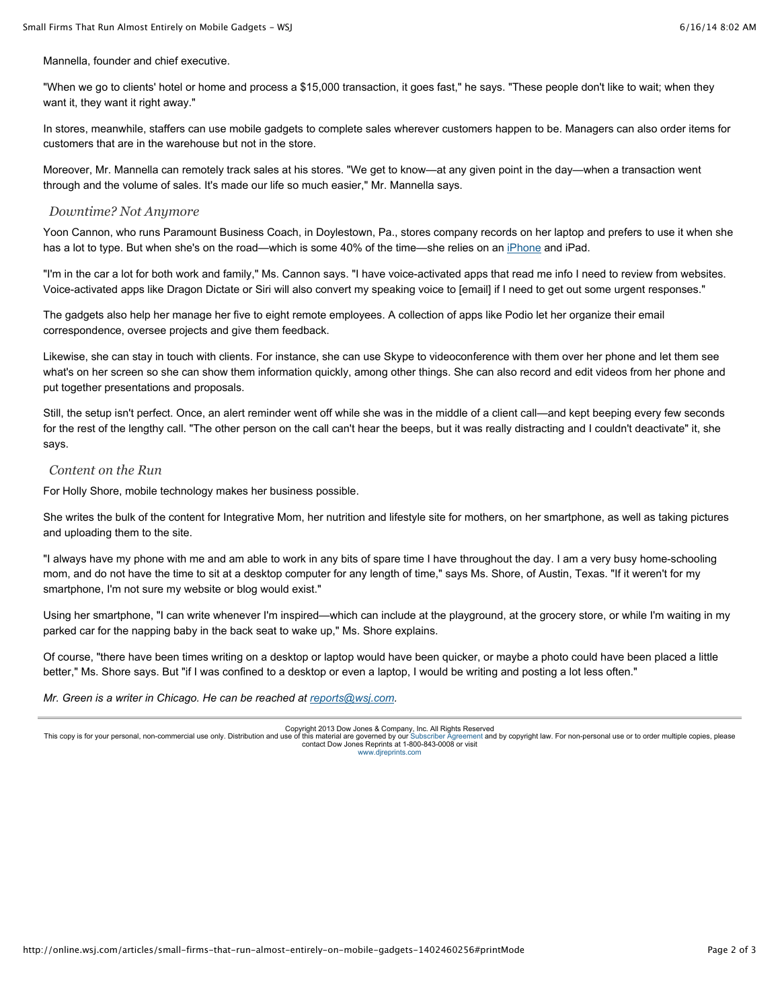Mannella, founder and chief executive.

"When we go to clients' hotel or home and process a \$15,000 transaction, it goes fast," he says. "These people don't like to wait; when they want it, they want it right away."

In stores, meanwhile, staffers can use mobile gadgets to complete sales wherever customers happen to be. Managers can also order items for customers that are in the warehouse but not in the store.

Moreover, Mr. Mannella can remotely track sales at his stores. "We get to know—at any given point in the day—when a transaction went through and the volume of sales. It's made our life so much easier," Mr. Mannella says.

#### *Downtime? Not Anymore*

Yoon Cannon, who runs Paramount Business Coach, in Doylestown, Pa., stores company records on her laptop and prefers to use it when she has a lot to type. But when she's on the road—which is some 40% of the time—she relies on an [iPhone](http://topics.wsj.com/subject/I/iphone/1663?lc=int_mb_1001) and iPad.

"I'm in the car a lot for both work and family," Ms. Cannon says. "I have voice-activated apps that read me info I need to review from websites. Voice-activated apps like Dragon Dictate or Siri will also convert my speaking voice to [email] if I need to get out some urgent responses."

The gadgets also help her manage her five to eight remote employees. A collection of apps like Podio let her organize their email correspondence, oversee projects and give them feedback.

Likewise, she can stay in touch with clients. For instance, she can use Skype to videoconference with them over her phone and let them see what's on her screen so she can show them information quickly, among other things. She can also record and edit videos from her phone and put together presentations and proposals.

Still, the setup isn't perfect. Once, an alert reminder went off while she was in the middle of a client call—and kept beeping every few seconds for the rest of the lengthy call. "The other person on the call can't hear the beeps, but it was really distracting and I couldn't deactivate" it, she says.

#### *Content on the Run*

For Holly Shore, mobile technology makes her business possible.

She writes the bulk of the content for Integrative Mom, her nutrition and lifestyle site for mothers, on her smartphone, as well as taking pictures and uploading them to the site.

"I always have my phone with me and am able to work in any bits of spare time I have throughout the day. I am a very busy home-schooling mom, and do not have the time to sit at a desktop computer for any length of time," says Ms. Shore, of Austin, Texas. "If it weren't for my smartphone, I'm not sure my website or blog would exist."

Using her smartphone, "I can write whenever I'm inspired—which can include at the playground, at the grocery store, or while I'm waiting in my parked car for the napping baby in the back seat to wake up," Ms. Shore explains.

Of course, "there have been times writing on a desktop or laptop would have been quicker, or maybe a photo could have been placed a little better," Ms. Shore says. But "if I was confined to a desktop or even a laptop, I would be writing and posting a lot less often."

*Mr. Green is a writer in Chicago. He can be reached at [reports@wsj.com.](mailto:reports@wsj.com)*

Copyright 2013 Dow Jones & Company, Inc. All Rights Reserved<br>This copy is for your personal, non-commercial use only. Distribution and use of this material are governed by our [Subscriber Agreement](http://online.wsj.com/public/page/subscriber_agreement.html) and by copyright law. For contact Dow Jones Reprints at 1-800-843-0008 or visit [www.djreprints.com](http://www.djreprints.com/)